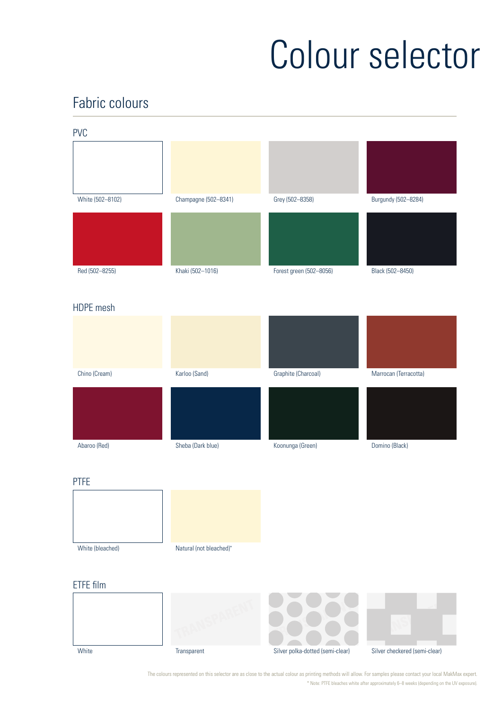# Colour selector

# Fabric colours



The colours represented on this selector are as close to the actual colour as printing methods will allow. For samples please contact your local MakMax expert. \* Note: PTFE bleaches white after approximately 6–8 weeks (depending on the UV exposure).